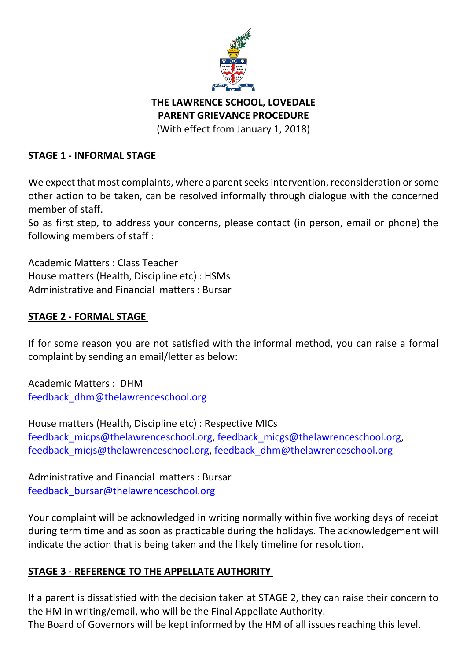

# **THE LAWRENCE SCHOOL, LOVEDALE PARENT GRIEVANCE PROCEDURE**

(With effect from January 1, 2018)

## **STAGE 1 - INFORMAL STAGE**

We expect that most complaints, where a parent seeks intervention, reconsideration or some other action to be taken, can be resolved informally through dialogue with the concerned member of staff.

So as first step, to address your concerns, please contact (in person, email or phone) the following members of staff :

Academic Matters : Class Teacher House matters (Health, Discipline etc) : HSMs Administrative and Financial matters : Bursar

### **STAGE 2 - FORMAL STAGE**

If for some reason you are not satisfied with the informal method, you can raise a formal complaint by sending an email/letter as below:

Academic Matters : DHM [feedback\\_dhm@thelawrenceschool.org](mailto:feedback_dhm@thelawrenceschool.org)

House matters (Health, Discipline etc) : Respective MICs feedback micps@thelawrenceschool.org, feedback micgs@thelawrenceschool.org, feedback micjs@thelawrenceschool.org, feedback dhm@thelawrenceschool.org

Administrative and Financial matters : Bursar [feedback\\_bursar@thelawrenceschool.org](mailto:feedback_bursar@thelawrenceschool.org)

Your complaint will be acknowledged in writing normally within five working days of receipt during term time and as soon as practicable during the holidays. The acknowledgement will indicate the action that is being taken and the likely timeline for resolution.

## **STAGE 3 - REFERENCE TO THE APPELLATE AUTHORITY**

If a parent is dissatisfied with the decision taken at STAGE 2, they can raise their concern to the HM in writing/email, who will be the Final Appellate Authority. The Board of Governors will be kept informed by the HM of all issues reaching this level.